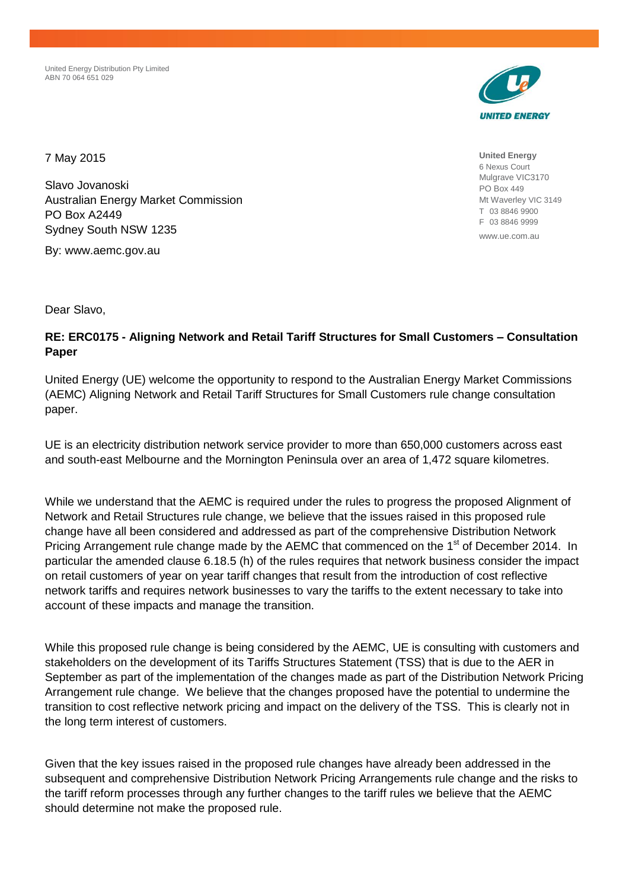United Energy Distribution Pty Limited ABN 70 064 651 029



**United Energy** 6 Nexus Court Mulgrave VIC3170 PO Box 449 Mt Waverley VIC 3149 T 03 8846 9900 F 03 8846 9999 www.ue.com.au

7 May 2015

Slavo Jovanoski Australian Energy Market Commission PO Box A2449 Sydney South NSW 1235

By: www.aemc.gov.au

Dear Slavo,

## **RE: ERC0175 - Aligning Network and Retail Tariff Structures for Small Customers – Consultation Paper**

United Energy (UE) welcome the opportunity to respond to the Australian Energy Market Commissions (AEMC) Aligning Network and Retail Tariff Structures for Small Customers rule change consultation paper.

UE is an electricity distribution network service provider to more than 650,000 customers across east and south-east Melbourne and the Mornington Peninsula over an area of 1,472 square kilometres.

While we understand that the AEMC is required under the rules to progress the proposed Alignment of Network and Retail Structures rule change, we believe that the issues raised in this proposed rule change have all been considered and addressed as part of the comprehensive Distribution Network Pricing Arrangement rule change made by the AEMC that commenced on the 1<sup>st</sup> of December 2014. In particular the amended clause 6.18.5 (h) of the rules requires that network business consider the impact on retail customers of year on year tariff changes that result from the introduction of cost reflective network tariffs and requires network businesses to vary the tariffs to the extent necessary to take into account of these impacts and manage the transition.

While this proposed rule change is being considered by the AEMC, UE is consulting with customers and stakeholders on the development of its Tariffs Structures Statement (TSS) that is due to the AER in September as part of the implementation of the changes made as part of the Distribution Network Pricing Arrangement rule change. We believe that the changes proposed have the potential to undermine the transition to cost reflective network pricing and impact on the delivery of the TSS. This is clearly not in the long term interest of customers.

Given that the key issues raised in the proposed rule changes have already been addressed in the subsequent and comprehensive Distribution Network Pricing Arrangements rule change and the risks to the tariff reform processes through any further changes to the tariff rules we believe that the AEMC should determine not make the proposed rule.